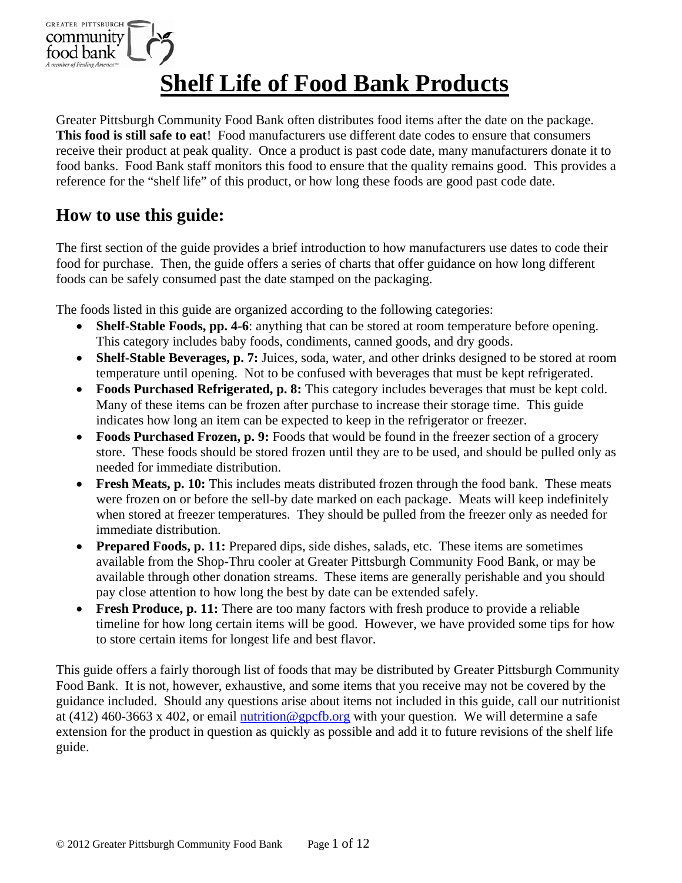

# **Shelf Life of Food Bank Products**

Greater Pittsburgh Community Food Bank often distributes food items after the date on the package. **This food is still safe to eat**! Food manufacturers use different date codes to ensure that consumers receive their product at peak quality. Once a product is past code date, many manufacturers donate it to food banks. Food Bank staff monitors this food to ensure that the quality remains good.This provides a reference for the "shelf life" of this product, or how long these foods are good past code date.

### **How to use this guide:**

The first section of the guide provides a brief introduction to how manufacturers use dates to code their food for purchase. Then, the guide offers a series of charts that offer guidance on how long different foods can be safely consumed past the date stamped on the packaging.

The foods listed in this guide are organized according to the following categories:

- **Shelf-Stable Foods, pp. 4-6**: anything that can be stored at room temperature before opening. This category includes baby foods, condiments, canned goods, and dry goods.
- **Shelf-Stable Beverages, p. 7:** Juices, soda, water, and other drinks designed to be stored at room temperature until opening. Not to be confused with beverages that must be kept refrigerated.
- **Foods Purchased Refrigerated, p. 8:** This category includes beverages that must be kept cold. Many of these items can be frozen after purchase to increase their storage time. This guide indicates how long an item can be expected to keep in the refrigerator or freezer.
- Foods Purchased Frozen, p. 9: Foods that would be found in the freezer section of a grocery store. These foods should be stored frozen until they are to be used, and should be pulled only as needed for immediate distribution.
- **Fresh Meats, p. 10:** This includes meats distributed frozen through the food bank. These meats were frozen on or before the sell-by date marked on each package. Meats will keep indefinitely when stored at freezer temperatures. They should be pulled from the freezer only as needed for immediate distribution.
- Prepared Foods, p. 11: Prepared dips, side dishes, salads, etc. These items are sometimes available from the Shop-Thru cooler at Greater Pittsburgh Community Food Bank, or may be available through other donation streams. These items are generally perishable and you should pay close attention to how long the best by date can be extended safely.
- **Fresh Produce, p. 11:** There are too many factors with fresh produce to provide a reliable timeline for how long certain items will be good. However, we have provided some tips for how to store certain items for longest life and best flavor.

This guide offers a fairly thorough list of foods that may be distributed by Greater Pittsburgh Community Food Bank. It is not, however, exhaustive, and some items that you receive may not be covered by the guidance included. Should any questions arise about items not included in this guide, call our nutritionist at (412) 460-3663 x 402, or email nutrition @gpcfb.org with your question. We will determine a safe extension for the product in question as quickly as possible and add it to future revisions of the shelf life guide.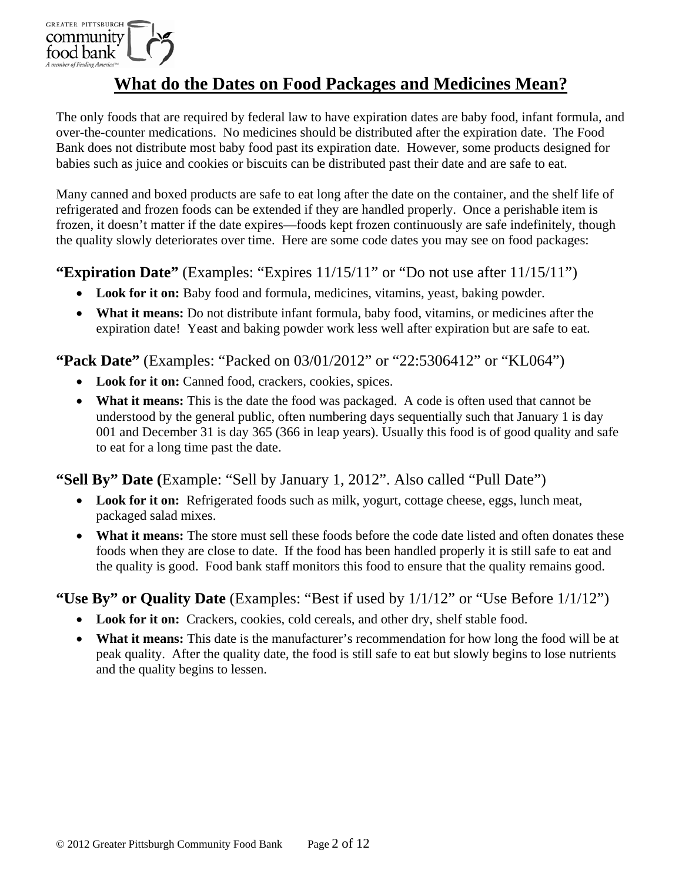

### **What do the Dates on Food Packages and Medicines Mean?**

The only foods that are required by federal law to have expiration dates are baby food, infant formula, and over-the-counter medications. No medicines should be distributed after the expiration date. The Food Bank does not distribute most baby food past its expiration date. However, some products designed for babies such as juice and cookies or biscuits can be distributed past their date and are safe to eat.

Many canned and boxed products are safe to eat long after the date on the container, and the shelf life of refrigerated and frozen foods can be extended if they are handled properly. Once a perishable item is frozen, it doesn't matter if the date expires—foods kept frozen continuously are safe indefinitely, though the quality slowly deteriorates over time. Here are some code dates you may see on food packages:

#### **"Expiration Date"** (Examples: "Expires 11/15/11" or "Do not use after 11/15/11")

- **Look for it on:** Baby food and formula, medicines, vitamins, yeast, baking powder.
- **What it means:** Do not distribute infant formula, baby food, vitamins, or medicines after the expiration date! Yeast and baking powder work less well after expiration but are safe to eat.

#### **"Pack Date"** (Examples: "Packed on 03/01/2012" or "22:5306412" or "KL064")

- Look for it on: Canned food, crackers, cookies, spices.
- What it means: This is the date the food was packaged. A code is often used that cannot be understood by the general public, often numbering days sequentially such that January 1 is day 001 and December 31 is day 365 (366 in leap years). Usually this food is of good quality and safe to eat for a long time past the date.

### **"Sell By" Date (**Example: "Sell by January 1, 2012". Also called "Pull Date")

- **Look for it on:** Refrigerated foods such as milk, yogurt, cottage cheese, eggs, lunch meat, packaged salad mixes.
- What it means: The store must sell these foods before the code date listed and often donates these foods when they are close to date. If the food has been handled properly it is still safe to eat and the quality is good. Food bank staff monitors this food to ensure that the quality remains good.

### **"Use By" or Quality Date** (Examples: "Best if used by 1/1/12" or "Use Before 1/1/12")

- **Look for it on:** Crackers, cookies, cold cereals, and other dry, shelf stable food.
- What it means: This date is the manufacturer's recommendation for how long the food will be at peak quality. After the quality date, the food is still safe to eat but slowly begins to lose nutrients and the quality begins to lessen.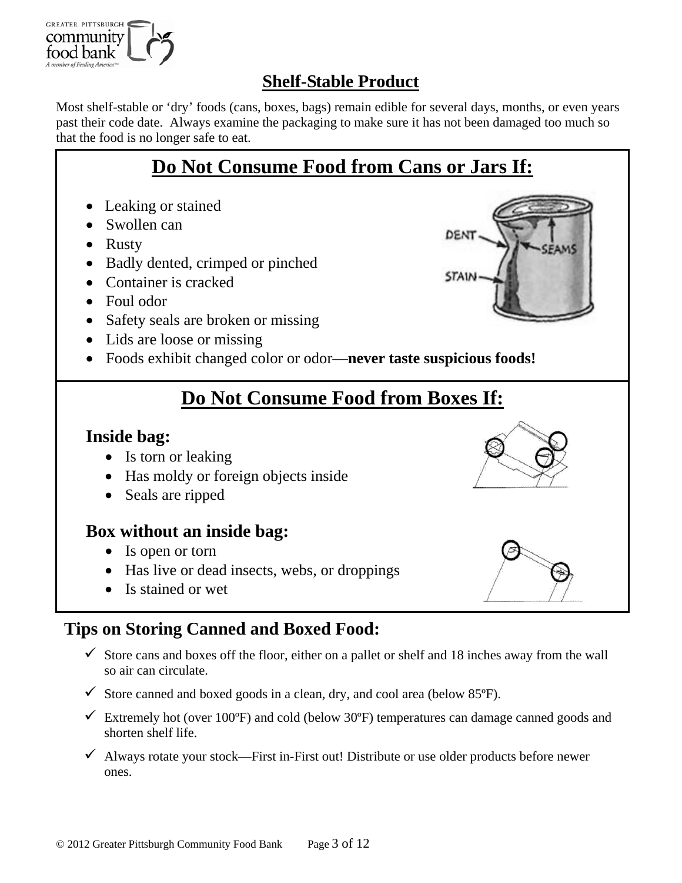

# **Shelf-Stable Product**

Most shelf-stable or 'dry' foods (cans, boxes, bags) remain edible for several days, months, or even years past their code date. Always examine the packaging to make sure it has not been damaged too much so that the food is no longer safe to eat.

# **Do Not Consume Food from Cans or Jars If:**

- Leaking or stained
- Swollen can
- Rusty
- Badly dented, crimped or pinched
- Container is cracked
- Foul odor
- Safety seals are broken or missing
- Lids are loose or missing
- Foods exhibit changed color or odor—**never taste suspicious foods!**

# **Do Not Consume Food from Boxes If:**

### **Inside bag:**

- Is torn or leaking
- Has moldy or foreign objects inside
- Seals are ripped

### **Box without an inside bag:**

- Is open or torn
- Has live or dead insects, webs, or droppings
- Is stained or wet

# **Tips on Storing Canned and Boxed Food:**

- $\checkmark$  Store cans and boxes off the floor, either on a pallet or shelf and 18 inches away from the wall so air can circulate.
- $\checkmark$  Store canned and boxed goods in a clean, dry, and cool area (below 85 $\check{P}$ ).
- $\checkmark$  Extremely hot (over 100°F) and cold (below 30°F) temperatures can damage canned goods and shorten shelf life.
- $\checkmark$  Always rotate your stock—First in-First out! Distribute or use older products before newer ones.



DEN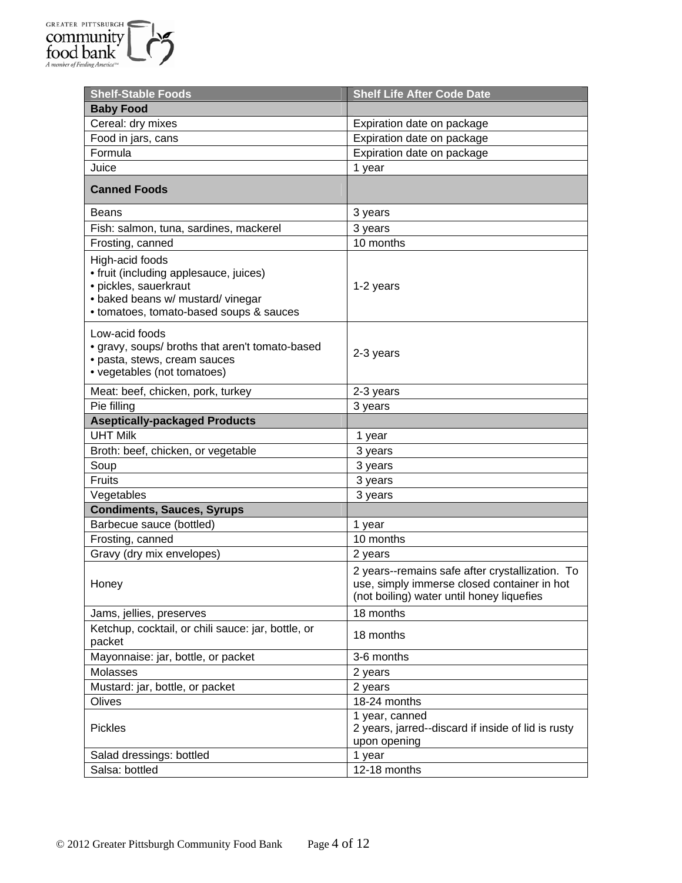| <b>Shelf-Stable Foods</b>                                                                                                                                          | <b>Shelf Life After Code Date</b>                                                                                                           |  |
|--------------------------------------------------------------------------------------------------------------------------------------------------------------------|---------------------------------------------------------------------------------------------------------------------------------------------|--|
| <b>Baby Food</b>                                                                                                                                                   |                                                                                                                                             |  |
| Cereal: dry mixes                                                                                                                                                  | Expiration date on package                                                                                                                  |  |
| Food in jars, cans                                                                                                                                                 | Expiration date on package                                                                                                                  |  |
| Formula                                                                                                                                                            | Expiration date on package                                                                                                                  |  |
| Juice                                                                                                                                                              | 1 year                                                                                                                                      |  |
| <b>Canned Foods</b>                                                                                                                                                |                                                                                                                                             |  |
| <b>Beans</b>                                                                                                                                                       | 3 years                                                                                                                                     |  |
| Fish: salmon, tuna, sardines, mackerel                                                                                                                             | 3 years                                                                                                                                     |  |
| Frosting, canned                                                                                                                                                   | 10 months                                                                                                                                   |  |
| High-acid foods<br>• fruit (including applesauce, juices)<br>· pickles, sauerkraut<br>· baked beans w/ mustard/ vinegar<br>• tomatoes, tomato-based soups & sauces | 1-2 years                                                                                                                                   |  |
| Low-acid foods<br>• gravy, soups/ broths that aren't tomato-based<br>· pasta, stews, cream sauces<br>• vegetables (not tomatoes)                                   | 2-3 years                                                                                                                                   |  |
| Meat: beef, chicken, pork, turkey                                                                                                                                  | 2-3 years                                                                                                                                   |  |
| Pie filling                                                                                                                                                        | 3 years                                                                                                                                     |  |
| <b>Aseptically-packaged Products</b>                                                                                                                               |                                                                                                                                             |  |
| <b>UHT Milk</b>                                                                                                                                                    | 1 year                                                                                                                                      |  |
| Broth: beef, chicken, or vegetable                                                                                                                                 | 3 years                                                                                                                                     |  |
| Soup                                                                                                                                                               | 3 years                                                                                                                                     |  |
| Fruits                                                                                                                                                             | 3 years                                                                                                                                     |  |
| Vegetables                                                                                                                                                         | 3 years                                                                                                                                     |  |
| <b>Condiments, Sauces, Syrups</b>                                                                                                                                  |                                                                                                                                             |  |
| Barbecue sauce (bottled)                                                                                                                                           | 1 year                                                                                                                                      |  |
| Frosting, canned                                                                                                                                                   | 10 months                                                                                                                                   |  |
| Gravy (dry mix envelopes)                                                                                                                                          | 2 years                                                                                                                                     |  |
| Honey                                                                                                                                                              | 2 years--remains safe after crystallization. To<br>use, simply immerse closed container in hot<br>(not boiling) water until honey liquefies |  |
| Jams, jellies, preserves                                                                                                                                           | 18 months                                                                                                                                   |  |
| Ketchup, cocktail, or chili sauce: jar, bottle, or<br>packet                                                                                                       | 18 months                                                                                                                                   |  |
| Mayonnaise: jar, bottle, or packet                                                                                                                                 | 3-6 months                                                                                                                                  |  |
| Molasses                                                                                                                                                           | 2 years                                                                                                                                     |  |
| Mustard: jar, bottle, or packet                                                                                                                                    | 2 years                                                                                                                                     |  |
| Olives                                                                                                                                                             | 18-24 months                                                                                                                                |  |
| <b>Pickles</b>                                                                                                                                                     | 1 year, canned<br>2 years, jarred--discard if inside of lid is rusty<br>upon opening                                                        |  |
| Salad dressings: bottled                                                                                                                                           | 1 year                                                                                                                                      |  |
| Salsa: bottled                                                                                                                                                     | 12-18 months                                                                                                                                |  |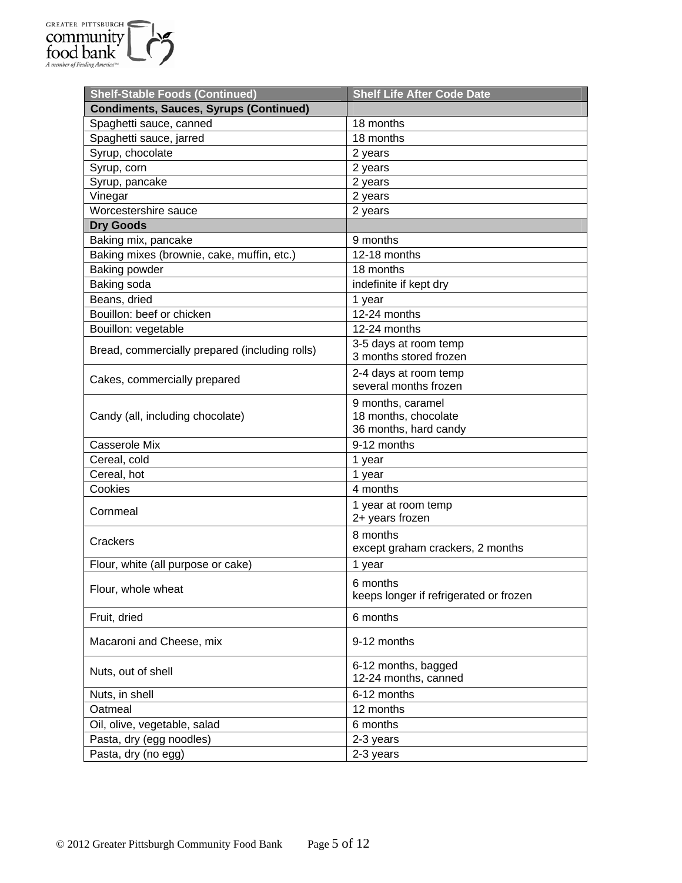

| <b>Shelf-Stable Foods (Continued)</b>          | <b>Shelf Life After Code Date</b>                                  |  |
|------------------------------------------------|--------------------------------------------------------------------|--|
| <b>Condiments, Sauces, Syrups (Continued)</b>  |                                                                    |  |
| Spaghetti sauce, canned                        | 18 months                                                          |  |
| Spaghetti sauce, jarred                        | 18 months                                                          |  |
| Syrup, chocolate                               | 2 years                                                            |  |
| Syrup, corn                                    | 2 years                                                            |  |
| Syrup, pancake                                 | 2 years                                                            |  |
| Vinegar                                        | 2 years                                                            |  |
| Worcestershire sauce                           | 2 years                                                            |  |
| <b>Dry Goods</b>                               |                                                                    |  |
| Baking mix, pancake                            | 9 months                                                           |  |
| Baking mixes (brownie, cake, muffin, etc.)     | 12-18 months                                                       |  |
| Baking powder                                  | 18 months                                                          |  |
| Baking soda                                    | indefinite if kept dry                                             |  |
| Beans, dried                                   | 1 year                                                             |  |
| Bouillon: beef or chicken                      | 12-24 months                                                       |  |
| Bouillon: vegetable                            | 12-24 months                                                       |  |
| Bread, commercially prepared (including rolls) | 3-5 days at room temp<br>3 months stored frozen                    |  |
| Cakes, commercially prepared                   | 2-4 days at room temp<br>several months frozen                     |  |
| Candy (all, including chocolate)               | 9 months, caramel<br>18 months, chocolate<br>36 months, hard candy |  |
| Casserole Mix                                  | 9-12 months                                                        |  |
| Cereal, cold                                   | 1 year                                                             |  |
| Cereal, hot                                    | 1 year                                                             |  |
| Cookies                                        | 4 months                                                           |  |
| Cornmeal                                       | 1 year at room temp<br>2+ years frozen                             |  |
| Crackers                                       | 8 months<br>except graham crackers, 2 months                       |  |
| Flour, white (all purpose or cake)             | 1 year                                                             |  |
| Flour, whole wheat                             | 6 months<br>keeps longer if refrigerated or frozen                 |  |
| Fruit, dried                                   | 6 months                                                           |  |
| Macaroni and Cheese, mix                       | 9-12 months                                                        |  |
| Nuts, out of shell                             | 6-12 months, bagged<br>12-24 months, canned                        |  |
| Nuts, in shell                                 | 6-12 months                                                        |  |
| Oatmeal                                        | 12 months                                                          |  |
| Oil, olive, vegetable, salad                   | 6 months                                                           |  |
| Pasta, dry (egg noodles)                       | 2-3 years                                                          |  |
| Pasta, dry (no egg)                            | 2-3 years                                                          |  |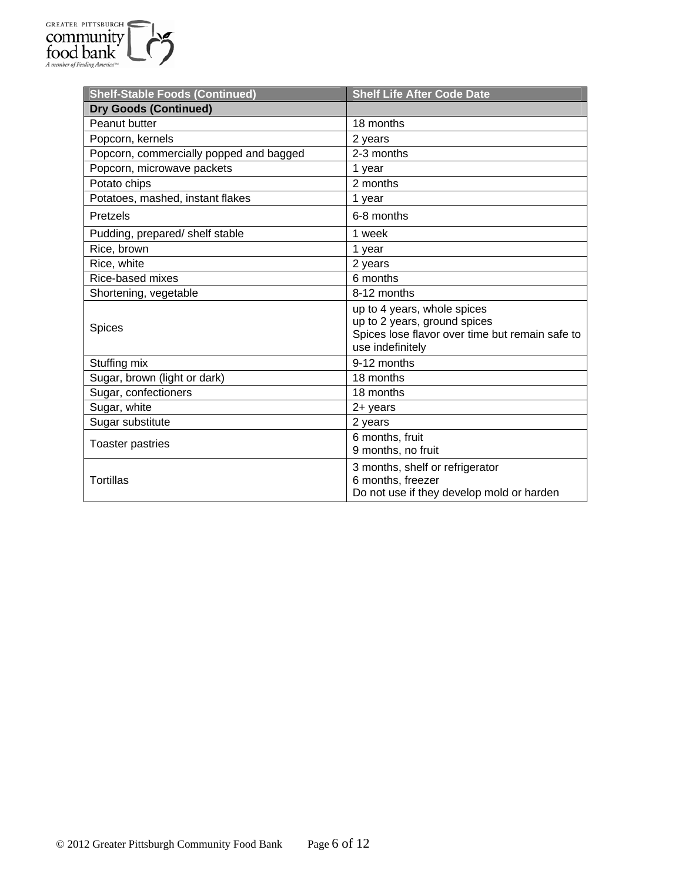| <b>Shelf-Stable Foods (Continued)</b>   | <b>Shelf Life After Code Date</b>                                                                                                  |  |
|-----------------------------------------|------------------------------------------------------------------------------------------------------------------------------------|--|
| <b>Dry Goods (Continued)</b>            |                                                                                                                                    |  |
| Peanut butter                           | 18 months                                                                                                                          |  |
| Popcorn, kernels                        | 2 years                                                                                                                            |  |
| Popcorn, commercially popped and bagged | 2-3 months                                                                                                                         |  |
| Popcorn, microwave packets              | 1 year                                                                                                                             |  |
| Potato chips                            | 2 months                                                                                                                           |  |
| Potatoes, mashed, instant flakes        | 1 year                                                                                                                             |  |
| Pretzels                                | 6-8 months                                                                                                                         |  |
| Pudding, prepared/ shelf stable         | 1 week                                                                                                                             |  |
| Rice, brown                             | 1 year                                                                                                                             |  |
| Rice, white                             | 2 years                                                                                                                            |  |
| Rice-based mixes                        | 6 months                                                                                                                           |  |
| Shortening, vegetable                   | 8-12 months                                                                                                                        |  |
| <b>Spices</b>                           | up to 4 years, whole spices<br>up to 2 years, ground spices<br>Spices lose flavor over time but remain safe to<br>use indefinitely |  |
| Stuffing mix                            | 9-12 months                                                                                                                        |  |
| Sugar, brown (light or dark)            | 18 months                                                                                                                          |  |
| Sugar, confectioners                    | 18 months                                                                                                                          |  |
| Sugar, white                            | $2 +$ years                                                                                                                        |  |
| Sugar substitute                        | 2 years                                                                                                                            |  |
| <b>Toaster pastries</b>                 | 6 months, fruit<br>9 months, no fruit                                                                                              |  |
| Tortillas                               | 3 months, shelf or refrigerator<br>6 months, freezer<br>Do not use if they develop mold or harden                                  |  |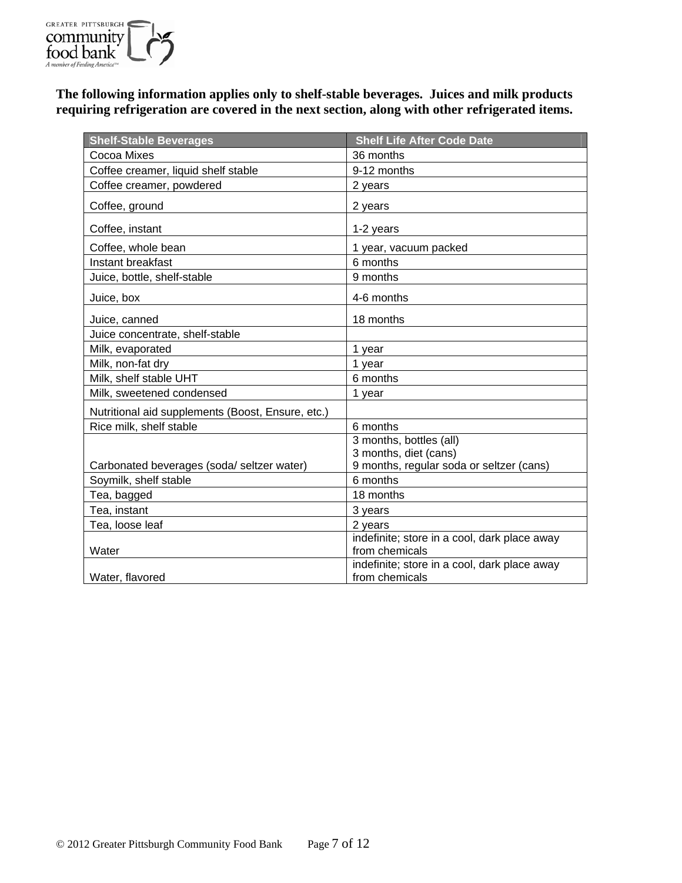

**The following information applies only to shelf-stable beverages. Juices and milk products requiring refrigeration are covered in the next section, along with other refrigerated items.** 

| <b>Shelf-Stable Beverages</b>                     | <b>Shelf Life After Code Date</b>            |  |
|---------------------------------------------------|----------------------------------------------|--|
| Cocoa Mixes                                       | 36 months                                    |  |
| Coffee creamer, liquid shelf stable               | 9-12 months                                  |  |
| Coffee creamer, powdered                          | 2 years                                      |  |
| Coffee, ground                                    | 2 years                                      |  |
| Coffee, instant                                   | 1-2 years                                    |  |
| Coffee, whole bean                                | 1 year, vacuum packed                        |  |
| Instant breakfast                                 | 6 months                                     |  |
| Juice, bottle, shelf-stable                       | 9 months                                     |  |
| Juice, box                                        | 4-6 months                                   |  |
| Juice, canned                                     | 18 months                                    |  |
| Juice concentrate, shelf-stable                   |                                              |  |
| Milk, evaporated                                  | 1 year                                       |  |
| Milk, non-fat dry                                 | 1 year                                       |  |
| Milk, shelf stable UHT                            | 6 months                                     |  |
| Milk, sweetened condensed                         | 1 year                                       |  |
| Nutritional aid supplements (Boost, Ensure, etc.) |                                              |  |
| Rice milk, shelf stable                           | 6 months                                     |  |
|                                                   | 3 months, bottles (all)                      |  |
|                                                   | 3 months, diet (cans)                        |  |
| Carbonated beverages (soda/seltzer water)         | 9 months, regular soda or seltzer (cans)     |  |
| Soymilk, shelf stable                             | 6 months                                     |  |
| Tea, bagged                                       | 18 months                                    |  |
| Tea, instant                                      | 3 years                                      |  |
| Tea, loose leaf                                   | 2 years                                      |  |
|                                                   | indefinite; store in a cool, dark place away |  |
| Water                                             | from chemicals                               |  |
|                                                   | indefinite; store in a cool, dark place away |  |
| Water, flavored                                   | from chemicals                               |  |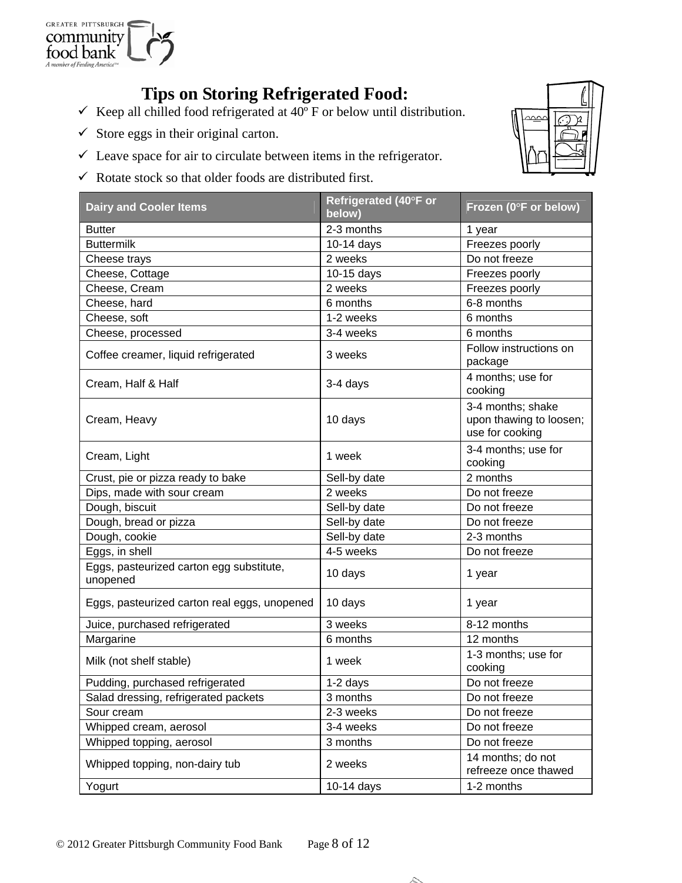

# **Tips on Storing Refrigerated Food:**

- Keep all chilled food refrigerated at  $40^{\circ}$  F or below until distribution.
- $\checkmark$  Store eggs in their original carton.
- $\checkmark$  Leave space for air to circulate between items in the refrigerator.
- $\checkmark$  Rotate stock so that older foods are distributed first.



| <b>Dairy and Cooler Items</b>                        | Refrigerated (40°F or<br>below) | Frozen (0°F or below)                                           |
|------------------------------------------------------|---------------------------------|-----------------------------------------------------------------|
| <b>Butter</b>                                        | 2-3 months                      | 1 year                                                          |
| <b>Buttermilk</b>                                    | 10-14 days                      | Freezes poorly                                                  |
| Cheese trays                                         | 2 weeks                         | Do not freeze                                                   |
| Cheese, Cottage                                      | 10-15 days                      | Freezes poorly                                                  |
| Cheese, Cream                                        | 2 weeks                         | Freezes poorly                                                  |
| Cheese, hard                                         | 6 months                        | 6-8 months                                                      |
| Cheese, soft                                         | 1-2 weeks                       | 6 months                                                        |
| Cheese, processed                                    | 3-4 weeks                       | 6 months                                                        |
| Coffee creamer, liquid refrigerated                  | 3 weeks                         | Follow instructions on<br>package                               |
| Cream, Half & Half                                   | 3-4 days                        | 4 months; use for<br>cooking                                    |
| Cream, Heavy                                         | 10 days                         | 3-4 months; shake<br>upon thawing to loosen;<br>use for cooking |
| Cream, Light                                         | 1 week                          | 3-4 months; use for<br>cooking                                  |
| Crust, pie or pizza ready to bake                    | Sell-by date                    | 2 months                                                        |
| Dips, made with sour cream                           | 2 weeks                         | Do not freeze                                                   |
| Dough, biscuit                                       | Sell-by date                    | Do not freeze                                                   |
| Dough, bread or pizza                                | Sell-by date                    | Do not freeze                                                   |
| Dough, cookie                                        | Sell-by date                    | 2-3 months                                                      |
| Eggs, in shell                                       | 4-5 weeks                       | Do not freeze                                                   |
| Eggs, pasteurized carton egg substitute,<br>unopened | 10 days                         | 1 year                                                          |
| Eggs, pasteurized carton real eggs, unopened         | 10 days                         | 1 year                                                          |
| Juice, purchased refrigerated                        | 3 weeks                         | 8-12 months                                                     |
| Margarine                                            | 6 months                        | 12 months                                                       |
| Milk (not shelf stable)                              | 1 week                          | 1-3 months; use for<br>cooking                                  |
| Pudding, purchased refrigerated                      | 1-2 davs                        | Do not freeze                                                   |
| Salad dressing, refrigerated packets                 | 3 months                        | Do not freeze                                                   |
| Sour cream                                           | 2-3 weeks                       | Do not freeze                                                   |
| Whipped cream, aerosol                               | 3-4 weeks                       | Do not freeze                                                   |
| Whipped topping, aerosol                             | 3 months                        | Do not freeze                                                   |
| Whipped topping, non-dairy tub                       | 2 weeks                         | 14 months; do not<br>refreeze once thawed                       |
| Yogurt                                               | 10-14 days                      | 1-2 months                                                      |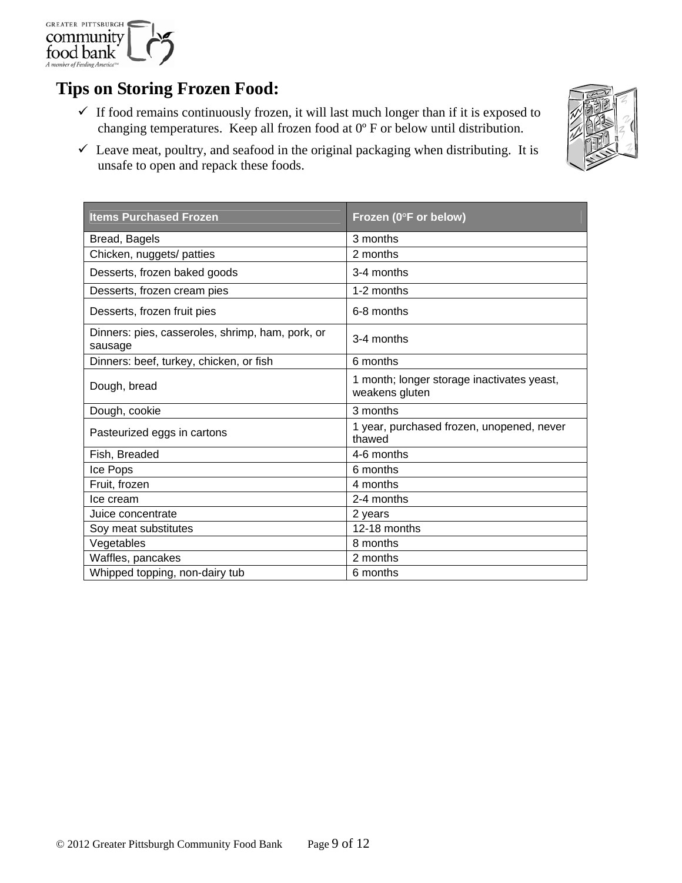

# **Tips on Storing Frozen Food:**

 $\checkmark$  If food remains continuously frozen, it will last much longer than if it is exposed to changing temperatures. Keep all frozen food at 0º F or below until distribution.



| <b>Items Purchased Frozen</b>                               | Frozen (0°F or below)                                        |
|-------------------------------------------------------------|--------------------------------------------------------------|
| Bread, Bagels                                               | 3 months                                                     |
| Chicken, nuggets/ patties                                   | 2 months                                                     |
| Desserts, frozen baked goods                                | 3-4 months                                                   |
| Desserts, frozen cream pies                                 | 1-2 months                                                   |
| Desserts, frozen fruit pies                                 | 6-8 months                                                   |
| Dinners: pies, casseroles, shrimp, ham, pork, or<br>sausage | 3-4 months                                                   |
| Dinners: beef, turkey, chicken, or fish                     | 6 months                                                     |
| Dough, bread                                                | 1 month; longer storage inactivates yeast,<br>weakens gluten |
| Dough, cookie                                               | 3 months                                                     |
| Pasteurized eggs in cartons                                 | 1 year, purchased frozen, unopened, never<br>thawed          |
| Fish, Breaded                                               | 4-6 months                                                   |
| Ice Pops                                                    | 6 months                                                     |
| Fruit, frozen                                               | 4 months                                                     |
| Ice cream                                                   | 2-4 months                                                   |
| Juice concentrate                                           | 2 years                                                      |
| Soy meat substitutes                                        | 12-18 months                                                 |
| Vegetables                                                  | 8 months                                                     |
| Waffles, pancakes                                           | 2 months                                                     |
| Whipped topping, non-dairy tub                              | 6 months                                                     |

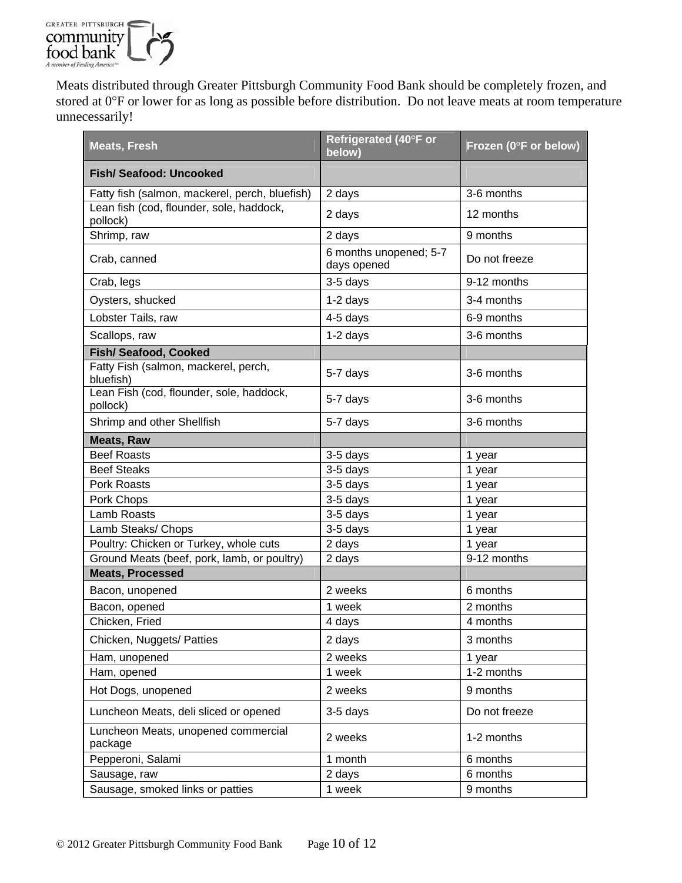

Meats distributed through Greater Pittsburgh Community Food Bank should be completely frozen, and stored at 0°F or lower for as long as possible before distribution. Do not leave meats at room temperature unnecessarily!

| <b>Meats, Fresh</b>                                  | Refrigerated (40°F or<br>below)       | Frozen (0°F or below) |
|------------------------------------------------------|---------------------------------------|-----------------------|
| <b>Fish/ Seafood: Uncooked</b>                       |                                       |                       |
| Fatty fish (salmon, mackerel, perch, bluefish)       | 2 days                                | 3-6 months            |
| Lean fish (cod, flounder, sole, haddock,<br>pollock) | 2 days                                | 12 months             |
| Shrimp, raw                                          | 2 days                                | 9 months              |
| Crab, canned                                         | 6 months unopened; 5-7<br>days opened | Do not freeze         |
| Crab, legs                                           | 3-5 days                              | 9-12 months           |
| Oysters, shucked                                     | 1-2 days                              | 3-4 months            |
| Lobster Tails, raw                                   | 4-5 days                              | 6-9 months            |
| Scallops, raw                                        | $1-2$ days                            | 3-6 months            |
| Fish/ Seafood, Cooked                                |                                       |                       |
| Fatty Fish (salmon, mackerel, perch,<br>bluefish)    | 5-7 days                              | 3-6 months            |
| Lean Fish (cod, flounder, sole, haddock,<br>pollock) | 5-7 days                              | 3-6 months            |
| Shrimp and other Shellfish                           | 5-7 days                              | 3-6 months            |
| <b>Meats, Raw</b>                                    |                                       |                       |
| <b>Beef Roasts</b>                                   | 3-5 days                              | 1 year                |
| <b>Beef Steaks</b>                                   | 3-5 days                              | 1 year                |
| Pork Roasts                                          | 3-5 days                              | 1 year                |
| Pork Chops                                           | 3-5 days                              | 1 year                |
| Lamb Roasts                                          | 3-5 days                              | 1 year                |
| Lamb Steaks/ Chops                                   | 3-5 days                              | 1 year                |
| Poultry: Chicken or Turkey, whole cuts               | 2 days                                | 1 year                |
| Ground Meats (beef, pork, lamb, or poultry)          | 2 days                                | 9-12 months           |
| <b>Meats, Processed</b>                              |                                       |                       |
| Bacon, unopened                                      | 2 weeks                               | 6 months              |
| Bacon, opened                                        | 1 week                                | 2 months              |
| Chicken, Fried                                       | 4 days                                | 4 months              |
| Chicken, Nuggets/ Patties                            | 2 days                                | 3 months              |
| Ham, unopened                                        | 2 weeks                               | 1 year                |
| Ham, opened                                          | 1 week                                | 1-2 months            |
| Hot Dogs, unopened                                   | 2 weeks                               | 9 months              |
| Luncheon Meats, deli sliced or opened                | 3-5 days                              | Do not freeze         |
| Luncheon Meats, unopened commercial<br>package       | 2 weeks                               | 1-2 months            |
| Pepperoni, Salami                                    | 1 month                               | 6 months              |
| Sausage, raw                                         | 2 days                                | 6 months              |
| Sausage, smoked links or patties                     | 1 week                                | 9 months              |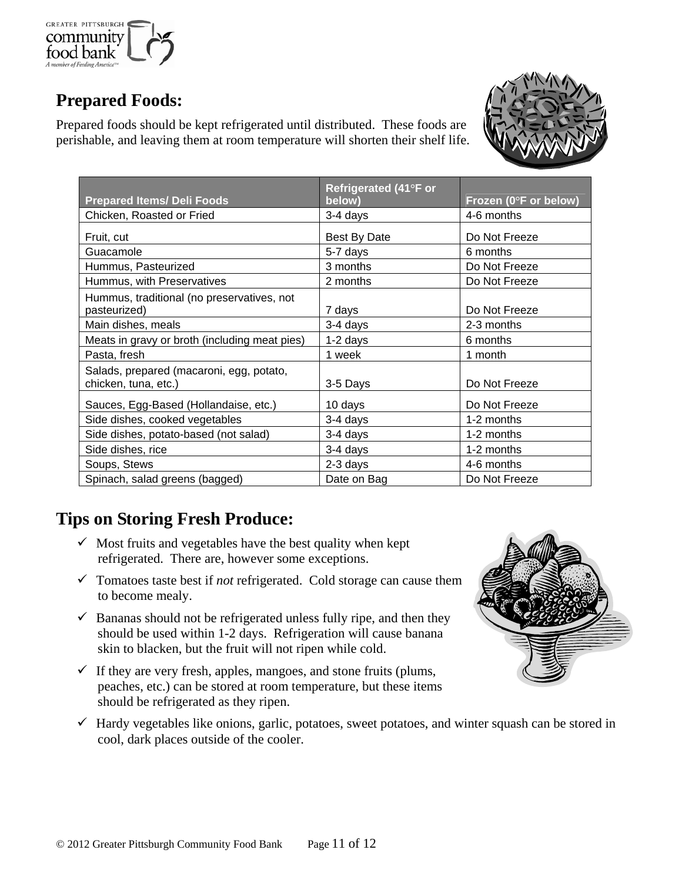

# **Prepared Foods:**

Prepared foods should be kept refrigerated until distributed. These foods are perishable, and leaving them at room temperature will shorten their shelf life.



| <b>Prepared Items/ Deli Foods</b>                                | Refrigerated (41°F or<br>below) | Frozen (0°F or below) |
|------------------------------------------------------------------|---------------------------------|-----------------------|
| Chicken, Roasted or Fried                                        | 3-4 days                        | 4-6 months            |
| Fruit, cut                                                       | Best By Date                    | Do Not Freeze         |
| Guacamole                                                        | 5-7 days                        | 6 months              |
| Hummus, Pasteurized                                              | 3 months                        | Do Not Freeze         |
| Hummus, with Preservatives                                       | 2 months                        | Do Not Freeze         |
| Hummus, traditional (no preservatives, not<br>pasteurized)       | 7 days                          | Do Not Freeze         |
| Main dishes, meals                                               | 3-4 days                        | 2-3 months            |
| Meats in gravy or broth (including meat pies)                    | $1-2$ days                      | 6 months              |
| Pasta, fresh                                                     | 1 week                          | 1 month               |
| Salads, prepared (macaroni, egg, potato,<br>chicken, tuna, etc.) | 3-5 Days                        | Do Not Freeze         |
| Sauces, Egg-Based (Hollandaise, etc.)                            | 10 days                         | Do Not Freeze         |
| Side dishes, cooked vegetables                                   | 3-4 days                        | 1-2 months            |
| Side dishes, potato-based (not salad)                            | 3-4 days                        | 1-2 months            |
| Side dishes, rice                                                | 3-4 days                        | 1-2 months            |
| Soups, Stews                                                     | 2-3 days                        | 4-6 months            |
| Spinach, salad greens (bagged)                                   | Date on Bag                     | Do Not Freeze         |

# **Tips on Storing Fresh Produce:**

- $\checkmark$  Most fruits and vegetables have the best quality when kept refrigerated. There are, however some exceptions.
- $\checkmark$  Tomatoes taste best if *not* refrigerated. Cold storage can cause them to become mealy.
- $\checkmark$  Bananas should not be refrigerated unless fully ripe, and then they should be used within 1-2 days. Refrigeration will cause banana skin to blacken, but the fruit will not ripen while cold.
- $\checkmark$  If they are very fresh, apples, mangoes, and stone fruits (plums, peaches, etc.) can be stored at room temperature, but these items should be refrigerated as they ripen.



 $\checkmark$  Hardy vegetables like onions, garlic, potatoes, sweet potatoes, and winter squash can be stored in cool, dark places outside of the cooler.